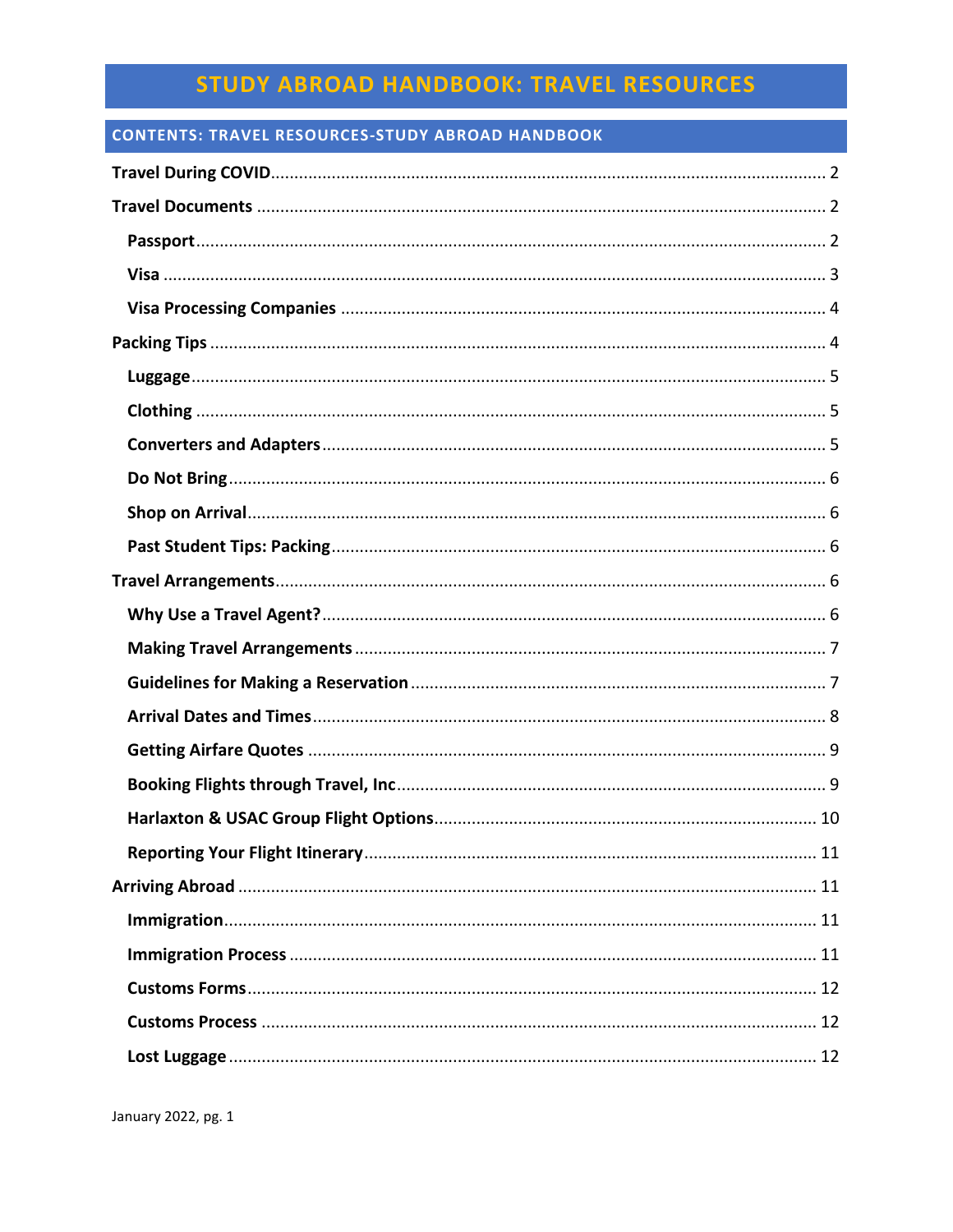## **CONTENTS: TRAVEL RESOURCES-STUDY ABROAD HANDBOOK**

| 11 |
|----|
|    |
|    |
|    |
|    |
|    |
|    |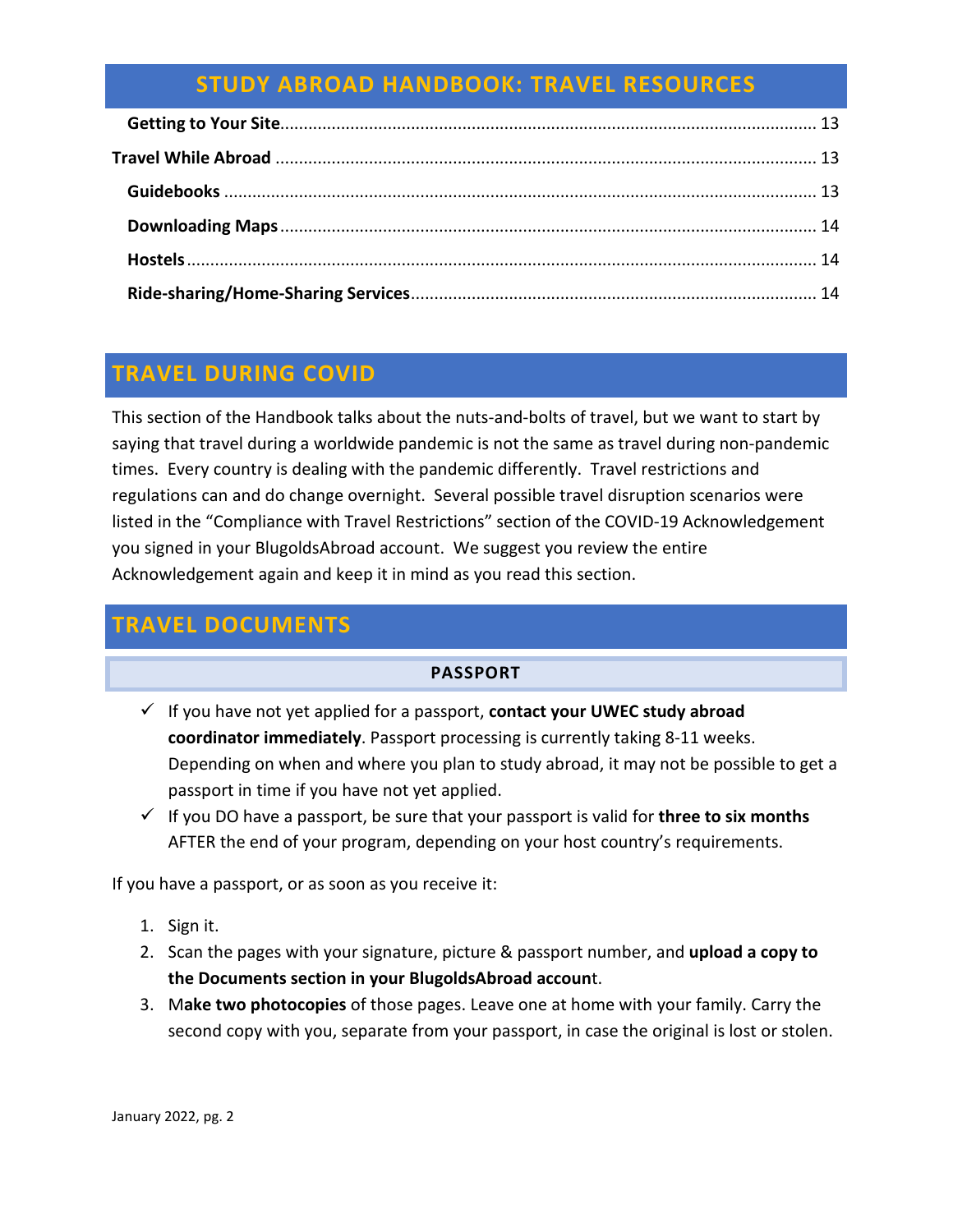# <span id="page-1-0"></span>**TRAVEL DURING COVID**

This section of the Handbook talks about the nuts-and-bolts of travel, but we want to start by saying that travel during a worldwide pandemic is not the same as travel during non-pandemic times. Every country is dealing with the pandemic differently. Travel restrictions and regulations can and do change overnight. Several possible travel disruption scenarios were listed in the "Compliance with Travel Restrictions" section of the COVID-19 Acknowledgement you signed in your BlugoldsAbroad account. We suggest you review the entire Acknowledgement again and keep it in mind as you read this section.

# <span id="page-1-2"></span><span id="page-1-1"></span>**TRAVEL DOCUMENTS**

## **PASSPORT**

- If you have not yet applied for a passport, **contact your UWEC study abroad coordinator immediately**. Passport processing is currently taking 8-11 weeks. Depending on when and where you plan to study abroad, it may not be possible to get a passport in time if you have not yet applied.
- $\checkmark$  If you DO have a passport, be sure that your passport is valid for **three to six months** AFTER the end of your program, depending on your host country's requirements.

If you have a passport, or as soon as you receive it:

- 1. Sign it.
- 2. Scan the pages with your signature, picture & passport number, and **upload a copy to the Documents section in your BlugoldsAbroad accoun**t.
- 3. M**ake two photocopies** of those pages. Leave one at home with your family. Carry the second copy with you, separate from your passport, in case the original is lost or stolen.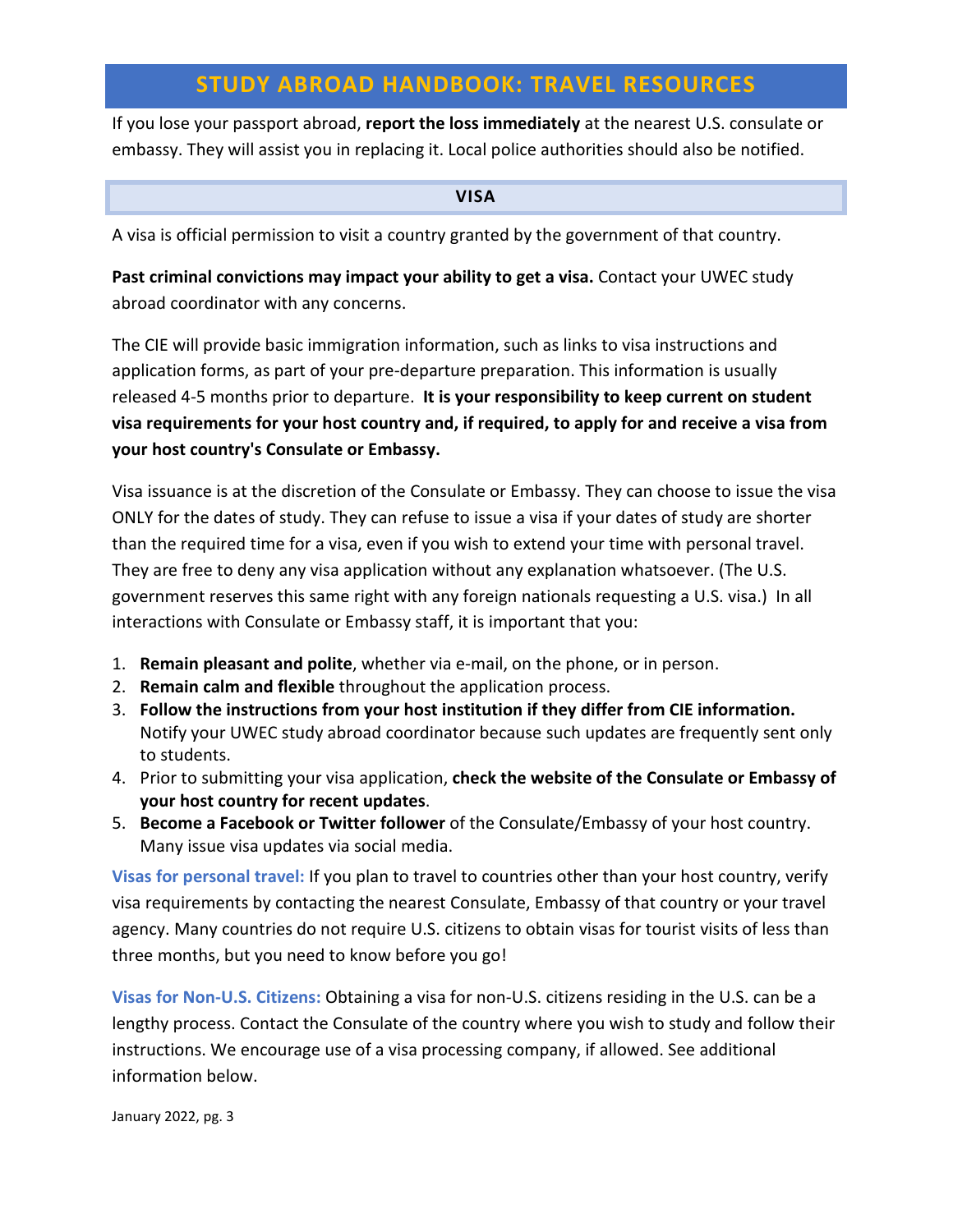If you lose your passport abroad, **report the loss immediately** at the nearest U.S. consulate or embassy. They will assist you in replacing it. Local police authorities should also be notified.

#### **VISA**

<span id="page-2-0"></span>A visa is official permission to visit a country granted by the government of that country.

**Past criminal convictions may impact your ability to get a visa.** Contact your UWEC study abroad coordinator with any concerns.

The CIE will provide basic immigration information, such as links to visa instructions and application forms, as part of your pre-departure preparation. This information is usually released 4-5 months prior to departure. **It is your responsibility to keep current on student visa requirements for your host country and, if required, to apply for and receive a visa from your host country's Consulate or Embassy.** 

Visa issuance is at the discretion of the Consulate or Embassy. They can choose to issue the visa ONLY for the dates of study. They can refuse to issue a visa if your dates of study are shorter than the required time for a visa, even if you wish to extend your time with personal travel. They are free to deny any visa application without any explanation whatsoever. (The U.S. government reserves this same right with any foreign nationals requesting a U.S. visa.) In all interactions with Consulate or Embassy staff, it is important that you:

- 1. **Remain pleasant and polite**, whether via e-mail, on the phone, or in person.
- 2. **Remain calm and flexible** throughout the application process.
- 3. **Follow the instructions from your host institution if they differ from CIE information.**  Notify your UWEC study abroad coordinator because such updates are frequently sent only to students.
- 4. Prior to submitting your visa application, **check the website of the Consulate or Embassy of your host country for recent updates**.
- 5. **Become a Facebook or Twitter follower** of the Consulate/Embassy of your host country. Many issue visa updates via social media.

**Visas for personal travel:** If you plan to travel to countries other than your host country, verify visa requirements by contacting the nearest Consulate, Embassy of that country or your travel agency. Many countries do not require U.S. citizens to obtain visas for tourist visits of less than three months, but you need to know before you go!

**Visas for Non-U.S. Citizens:** Obtaining a visa for non-U.S. citizens residing in the U.S. can be a lengthy process. Contact the Consulate of the country where you wish to study and follow their instructions. We encourage use of a visa processing company, if allowed. See additional information below.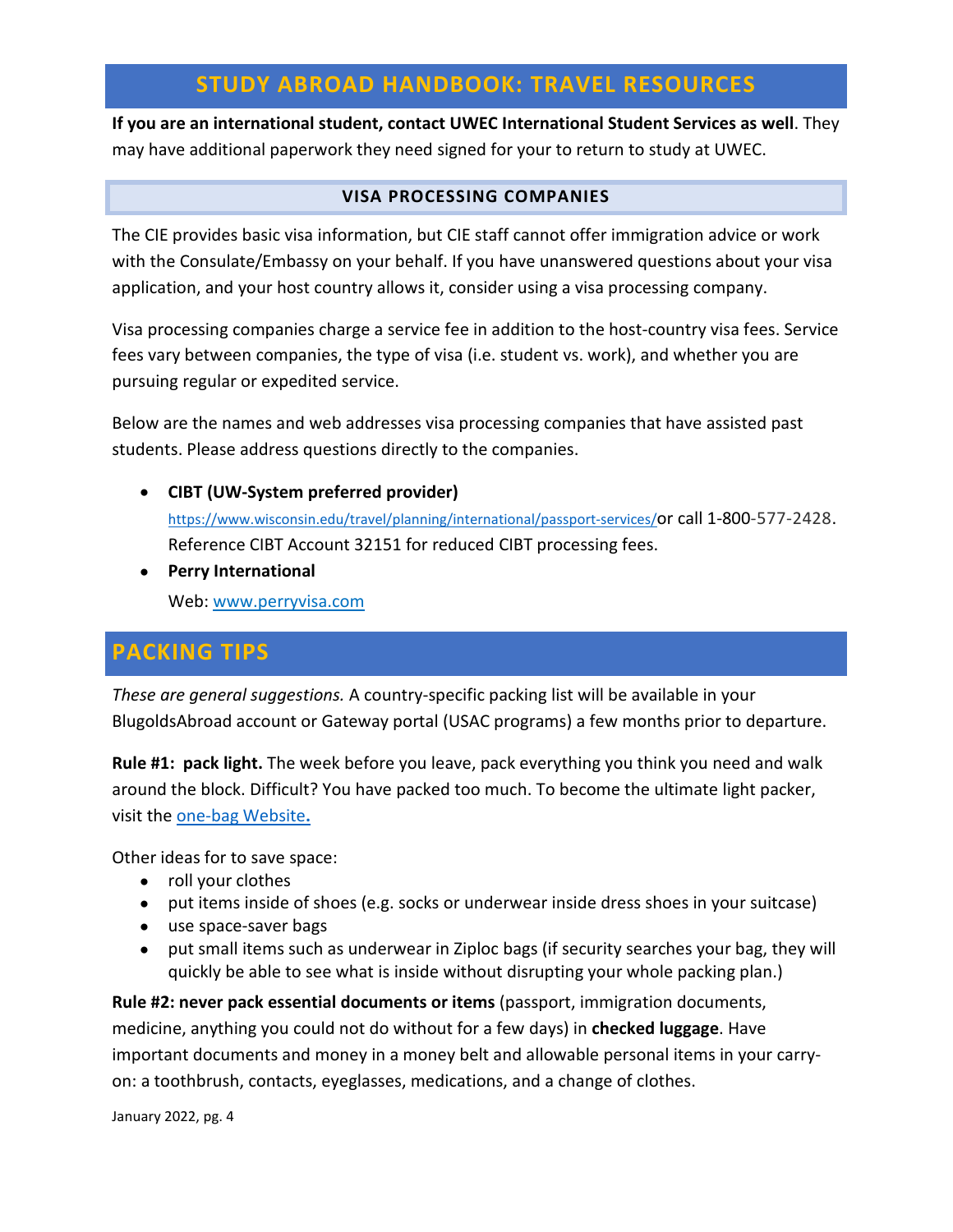**If you are an international student, contact UWEC International Student Services as well**. They may have additional paperwork they need signed for your to return to study at UWEC.

## **VISA PROCESSING COMPANIES**

<span id="page-3-0"></span>The CIE provides basic visa information, but CIE staff cannot offer immigration advice or work with the Consulate/Embassy on your behalf. If you have unanswered questions about your visa application, and your host country allows it, consider using a visa processing company.

Visa processing companies charge a service fee in addition to the host-country visa fees. Service fees vary between companies, the type of visa (i.e. student vs. work), and whether you are pursuing regular or expedited service.

Below are the names and web addresses visa processing companies that have assisted past students. Please address questions directly to the companies.

• **CIBT (UW-System preferred provider)** 

[https://www.wisconsin.edu/travel/planning/international/passport-services/o](https://www.wisconsin.edu/travel/planning/international/passport-services/)r call 1-800-577-2428. Reference CIBT Account 32151 for reduced CIBT processing fees.

• **Perry International**

Web: [www.perryvisa.com](http://perryvisa.com/)

# <span id="page-3-1"></span>**PACKING TIPS**

*These are general suggestions.* A country-specific packing list will be available in your BlugoldsAbroad account or Gateway portal (USAC programs) a few months prior to departure.

**Rule #1: pack light.** The week before you leave, pack everything you think you need and walk around the block. Difficult? You have packed too much. To become the ultimate light packer, visit the [one-bag Website](http://www.onebag.com/)**.**

Other ideas for to save space:

- roll your clothes
- put items inside of shoes (e.g. socks or underwear inside dress shoes in your suitcase)
- use space-saver bags
- put small items such as underwear in Ziploc bags (if security searches your bag, they will quickly be able to see what is inside without disrupting your whole packing plan.)

**Rule #2: never pack essential documents or items** (passport, immigration documents, medicine, anything you could not do without for a few days) in **checked luggage**. Have important documents and money in a money belt and allowable personal items in your carryon: a toothbrush, contacts, eyeglasses, medications, and a change of clothes.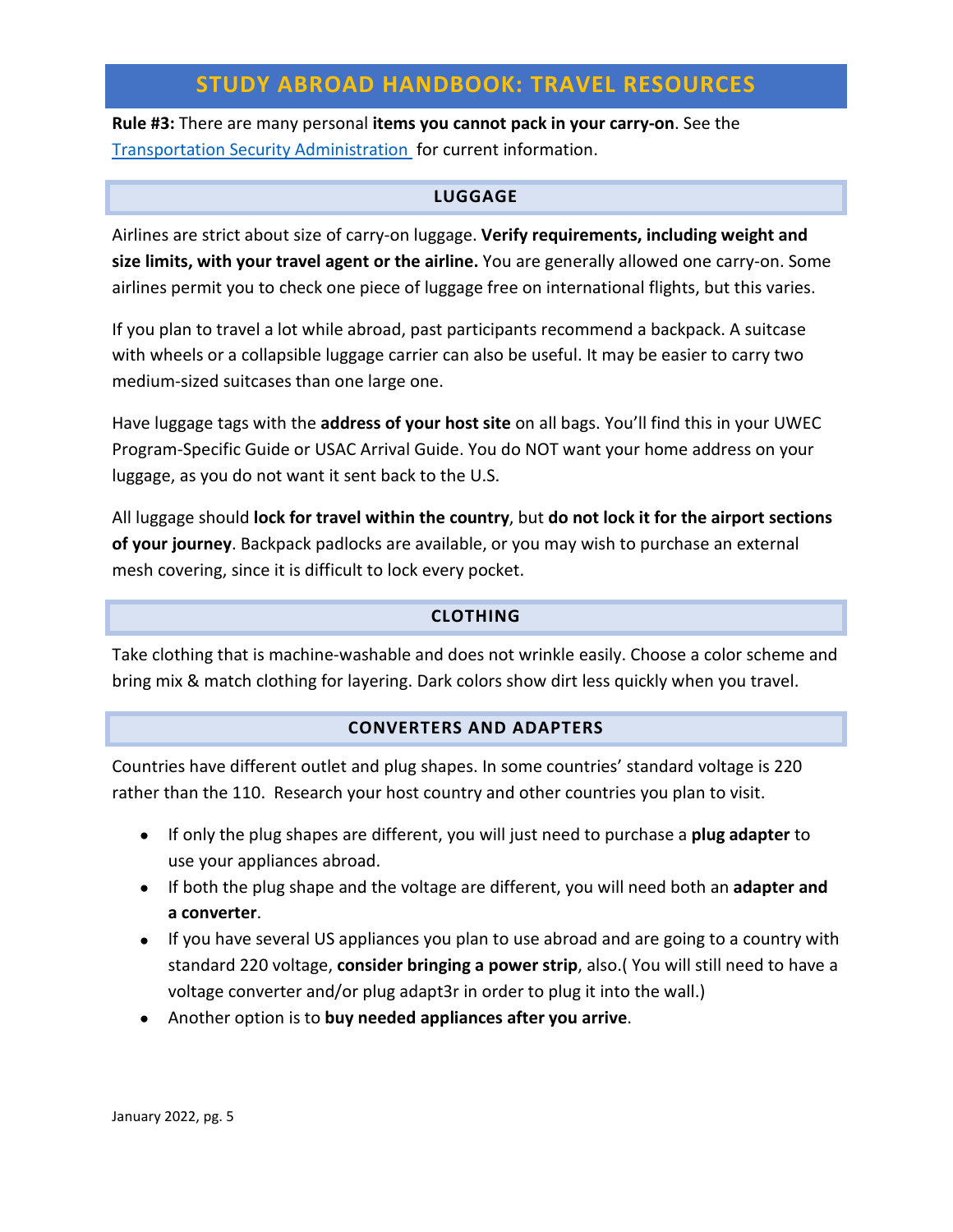**Rule #3:** There are many personal **items you cannot pack in your carry-on**. See the [Transportation Security Administration](http://www.tsa.gov/) for current information.

### **LUGGAGE**

<span id="page-4-0"></span>Airlines are strict about size of carry-on luggage. **Verify requirements, including weight and size limits, with your travel agent or the airline.** You are generally allowed one carry-on. Some airlines permit you to check one piece of luggage free on international flights, but this varies.

If you plan to travel a lot while abroad, past participants recommend a backpack. A suitcase with wheels or a collapsible luggage carrier can also be useful. It may be easier to carry two medium-sized suitcases than one large one.

Have luggage tags with the **address of your host site** on all bags. You'll find this in your UWEC Program-Specific Guide or USAC Arrival Guide. You do NOT want your home address on your luggage, as you do not want it sent back to the U.S.

All luggage should **lock for travel within the country**, but **do not lock it for the airport sections of your journey**. Backpack padlocks are available, or you may wish to purchase an external mesh covering, since it is difficult to lock every pocket.

#### **CLOTHING**

<span id="page-4-1"></span>Take clothing that is machine-washable and does not wrinkle easily. Choose a color scheme and bring mix & match clothing for layering. Dark colors show dirt less quickly when you travel.

#### **CONVERTERS AND ADAPTERS**

<span id="page-4-2"></span>Countries have different outlet and plug shapes. In some countries' standard voltage is 220 rather than the 110. Research your host country and other countries you plan to visit.

- If only the plug shapes are different, you will just need to purchase a **plug adapter** to use your appliances abroad.
- If both the plug shape and the voltage are different, you will need both an **adapter and a converter**.
- If you have several US appliances you plan to use abroad and are going to a country with standard 220 voltage, **consider bringing a power strip**, also.( You will still need to have a voltage converter and/or plug adapt3r in order to plug it into the wall.)
- Another option is to **buy needed appliances after you arrive**.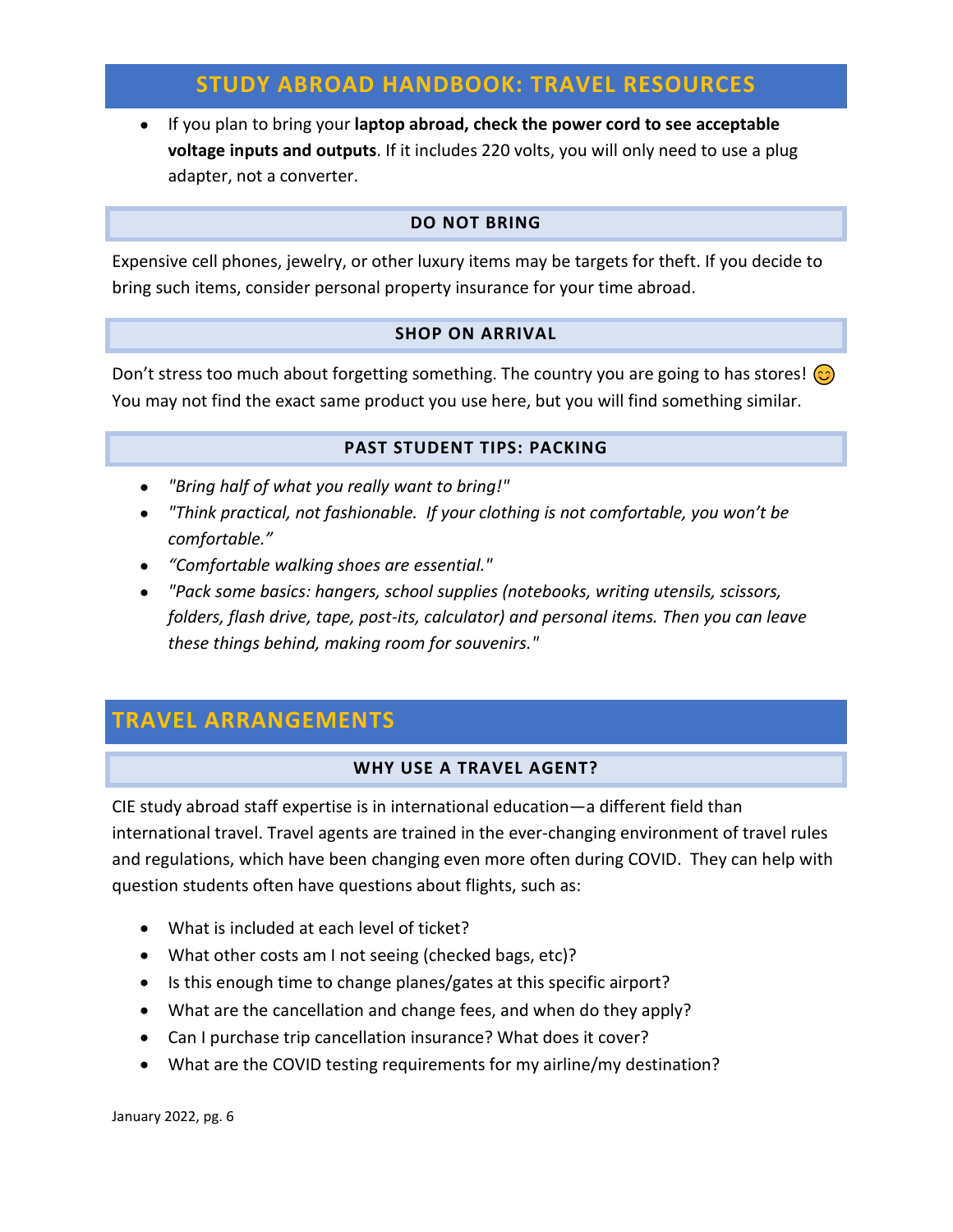• If you plan to bring your **laptop abroad, check the power cord to see acceptable voltage inputs and outputs**. If it includes 220 volts, you will only need to use a plug adapter, not a converter.

## **DO NOT BRING**

<span id="page-5-0"></span>Expensive cell phones, jewelry, or other luxury items may be targets for theft. If you decide to bring such items, consider personal property insurance for your time abroad.

### **SHOP ON ARRIVAL**

<span id="page-5-1"></span>Don't stress too much about forgetting something. The country you are going to has stores!  $\odot$ You may not find the exact same product you use here, but you will find something similar.

#### **PAST STUDENT TIPS: PACKING**

- <span id="page-5-2"></span>• *"Bring half of what you really want to bring!"*
- *"Think practical, not fashionable. If your clothing is not comfortable, you won't be comfortable."*
- *"Comfortable walking shoes are essential."*
- *"Pack some basics: hangers, school supplies (notebooks, writing utensils, scissors, folders, flash drive, tape, post-its, calculator) and personal items. Then you can leave these things behind, making room for souvenirs."*

# <span id="page-5-4"></span><span id="page-5-3"></span>**TRAVEL ARRANGEMENTS**

## **WHY USE A TRAVEL AGENT?**

CIE study abroad staff expertise is in international education—a different field than international travel. Travel agents are trained in the ever-changing environment of travel rules and regulations, which have been changing even more often during COVID. They can help with question students often have questions about flights, such as:

- What is included at each level of ticket?
- What other costs am I not seeing (checked bags, etc)?
- Is this enough time to change planes/gates at this specific airport?
- What are the cancellation and change fees, and when do they apply?
- Can I purchase trip cancellation insurance? What does it cover?
- What are the COVID testing requirements for my airline/my destination?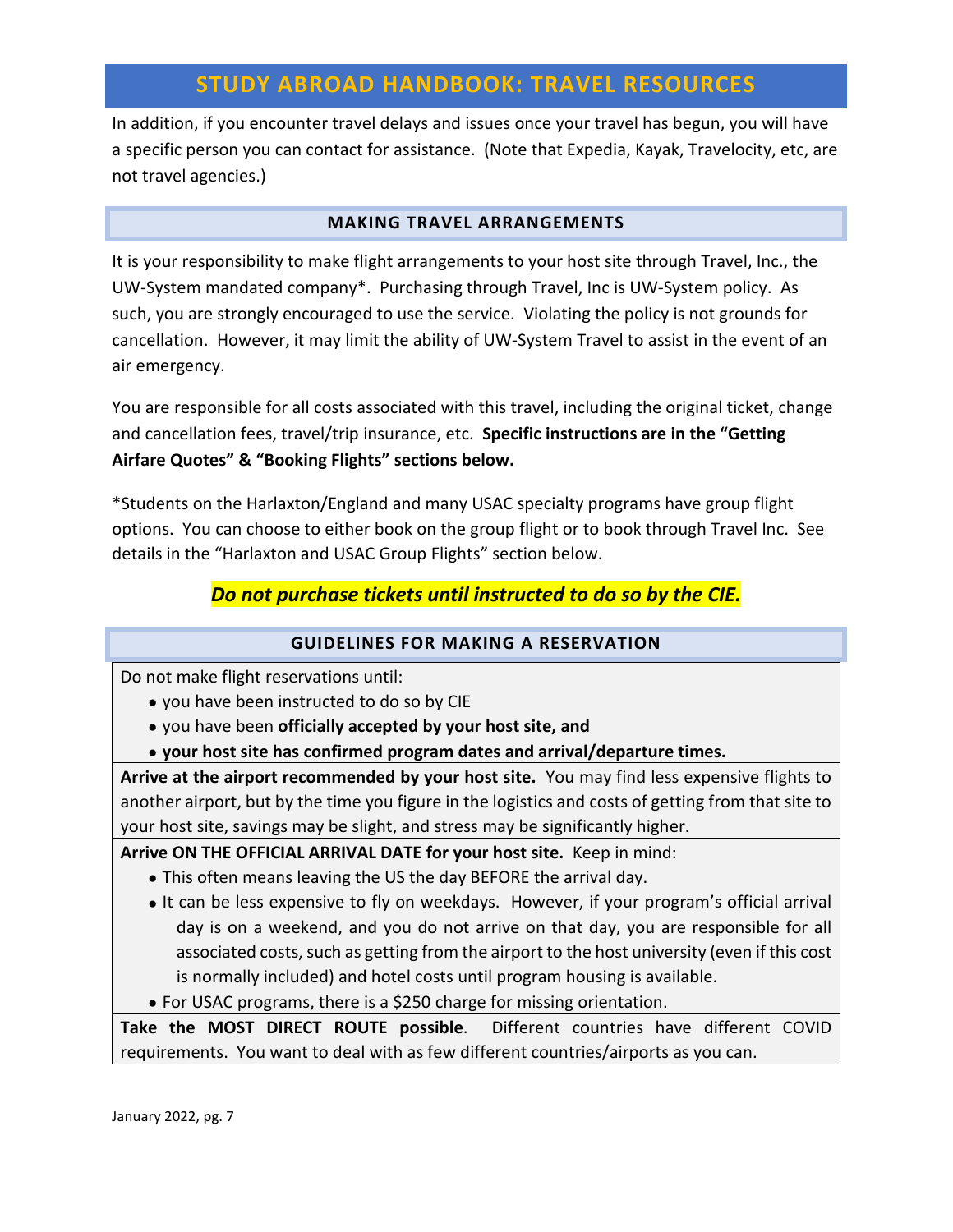In addition, if you encounter travel delays and issues once your travel has begun, you will have a specific person you can contact for assistance. (Note that Expedia, Kayak, Travelocity, etc, are not travel agencies.)

### **MAKING TRAVEL ARRANGEMENTS**

<span id="page-6-0"></span>It is your responsibility to make flight arrangements to your host site through Travel, Inc., the UW-System mandated company\*. Purchasing through Travel, Inc is UW-System policy. As such, you are strongly encouraged to use the service. Violating the policy is not grounds for cancellation. However, it may limit the ability of UW-System Travel to assist in the event of an air emergency.

You are responsible for all costs associated with this travel, including the original ticket, change and cancellation fees, travel/trip insurance, etc. **Specific instructions are in the "Getting Airfare Quotes" & "Booking Flights" sections below.**

\*Students on the Harlaxton/England and many USAC specialty programs have group flight options. You can choose to either book on the group flight or to book through Travel Inc. See details in the "Harlaxton and USAC Group Flights" section below.

## *Do not purchase tickets until instructed to do so by the CIE.*

## **GUIDELINES FOR MAKING A RESERVATION**

<span id="page-6-1"></span>Do not make flight reservations until:

- you have been instructed to do so by CIE
- you have been **officially accepted by your host site, and**
- **your host site has confirmed program dates and arrival/departure times.**

**Arrive at the airport recommended by your host site.** You may find less expensive flights to another airport, but by the time you figure in the logistics and costs of getting from that site to your host site, savings may be slight, and stress may be significantly higher.

**Arrive ON THE OFFICIAL ARRIVAL DATE for your host site.** Keep in mind:

- This often means leaving the US the day BEFORE the arrival day.
- It can be less expensive to fly on weekdays. However, if your program's official arrival day is on a weekend, and you do not arrive on that day, you are responsible for all associated costs, such as getting from the airport to the host university (even if this cost is normally included) and hotel costs until program housing is available.
- For USAC programs, there is a \$250 charge for missing orientation.

**Take the MOST DIRECT ROUTE possible**. Different countries have different COVID requirements. You want to deal with as few different countries/airports as you can.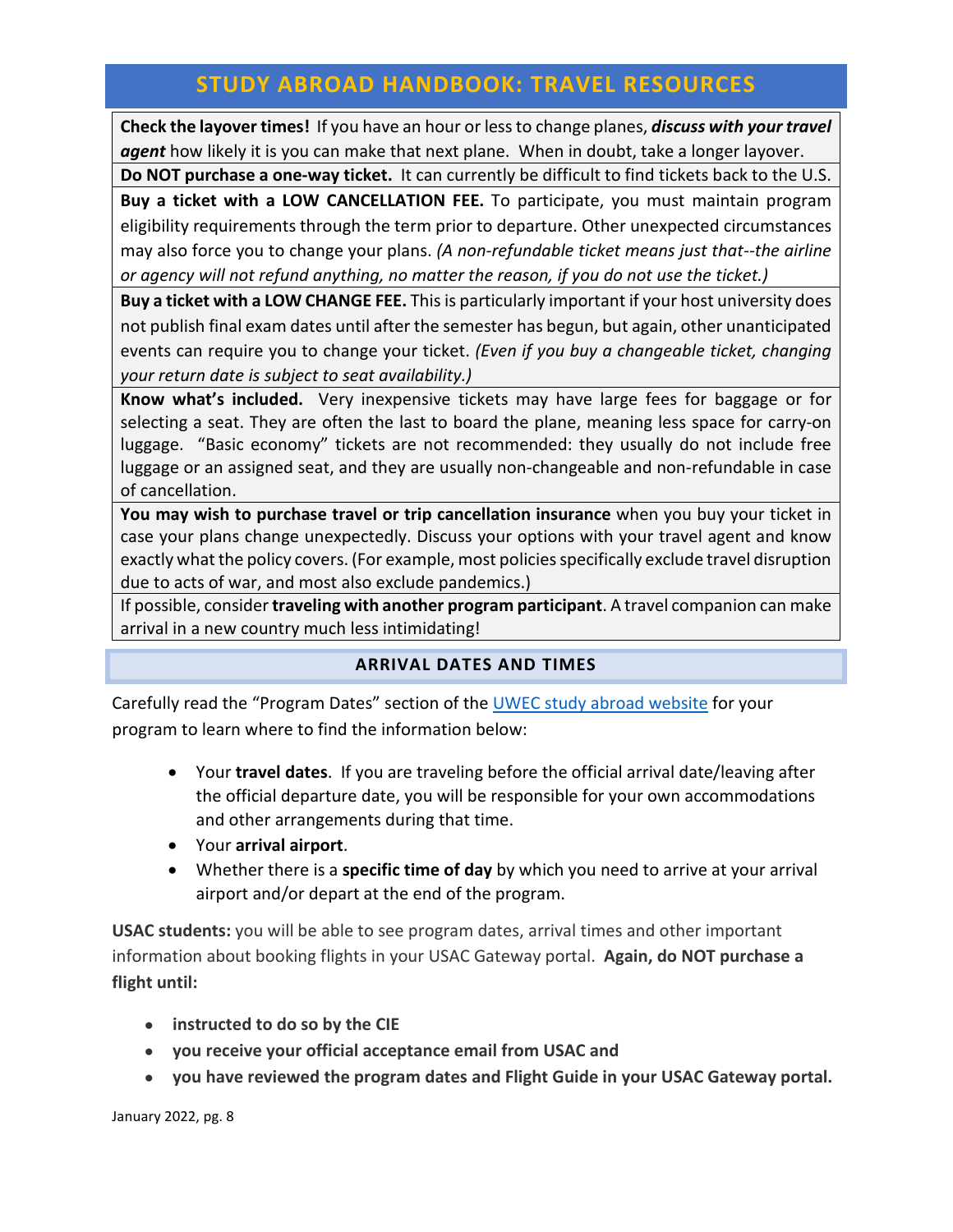**Check the layover times!** If you have an hour or less to change planes, *discuss with your travel agent* how likely it is you can make that next plane. When in doubt, take a longer layover.

**Do NOT purchase a one-way ticket.** It can currently be difficult to find tickets back to the U.S. **Buy a ticket with a LOW CANCELLATION FEE.** To participate, you must maintain program eligibility requirements through the term prior to departure. Other unexpected circumstances may also force you to change your plans. *(A non-refundable ticket means just that--the airline or agency will not refund anything, no matter the reason, if you do not use the ticket.)*

**Buy a ticket with a LOW CHANGE FEE.** This is particularly important if your host university does not publish final exam dates until after the semester has begun, but again, other unanticipated events can require you to change your ticket. *(Even if you buy a changeable ticket, changing your return date is subject to seat availability.)*

**Know what's included.** Very inexpensive tickets may have large fees for baggage or for selecting a seat. They are often the last to board the plane, meaning less space for carry-on luggage. "Basic economy" tickets are not recommended: they usually do not include free luggage or an assigned seat, and they are usually non-changeable and non-refundable in case of cancellation.

**You may wish to purchase travel or trip cancellation insurance** when you buy your ticket in case your plans change unexpectedly. Discuss your options with your travel agent and know exactly what the policy covers. (For example, most policies specifically exclude travel disruption due to acts of war, and most also exclude pandemics.)

<span id="page-7-0"></span>If possible, consider **traveling with another program participant**. A travel companion can make arrival in a new country much less intimidating!

## **ARRIVAL DATES AND TIMES**

Carefully read the "Program Dates" section of th[e UWEC study abroad website](https://studyabroad.apps.uwec.edu/index.cfm?FuseAction=Programs.ListAll) for your program to learn where to find the information below:

- Your **travel dates**. If you are traveling before the official arrival date/leaving after the official departure date, you will be responsible for your own accommodations and other arrangements during that time.
- Your **arrival airport**.
- Whether there is a **specific time of day** by which you need to arrive at your arrival airport and/or depart at the end of the program.

**USAC students:** you will be able to see program dates, arrival times and other important information about booking flights in your USAC Gateway portal. **Again, do NOT purchase a flight until:**

- **instructed to do so by the CIE**
- **you receive your official acceptance email from USAC and**
- **you have reviewed the program dates and Flight Guide in your USAC Gateway portal.**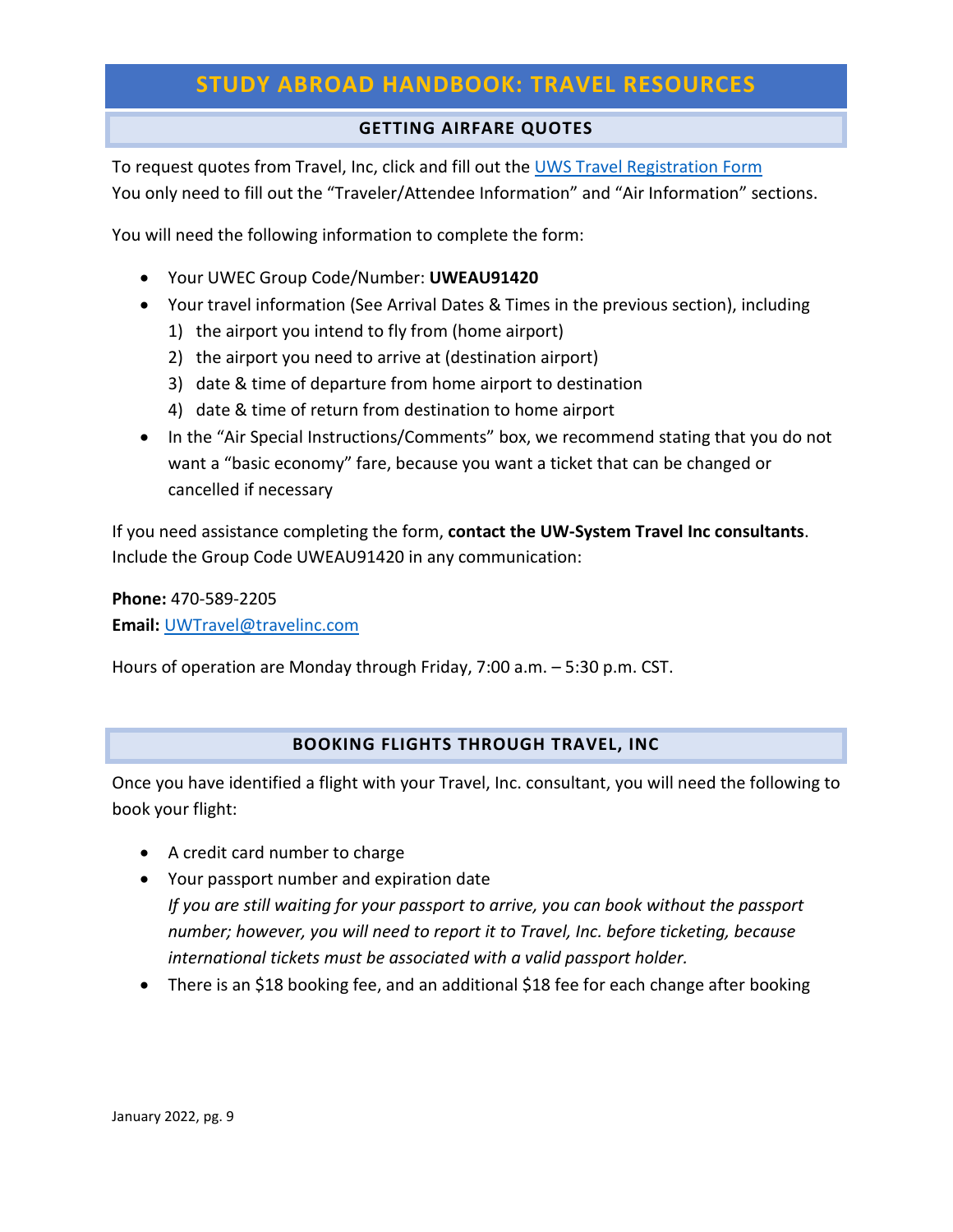## **GETTING AIRFARE QUOTES**

<span id="page-8-0"></span>To request quotes from Travel, Inc, click and fill out the [UWS Travel Registration Form](https://app.smartsheet.com/b/form/f957d564b4a549e6ac3a918d319edf9f) You only need to fill out the "Traveler/Attendee Information" and "Air Information" sections.

You will need the following information to complete the form:

- Your UWEC Group Code/Number: **UWEAU91420**
- Your travel information (See Arrival Dates & Times in the previous section), including
	- 1) the airport you intend to fly from (home airport)
	- 2) the airport you need to arrive at (destination airport)
	- 3) date & time of departure from home airport to destination
	- 4) date & time of return from destination to home airport
- In the "Air Special Instructions/Comments" box, we recommend stating that you do not want a "basic economy" fare, because you want a ticket that can be changed or cancelled if necessary

If you need assistance completing the form, **contact the UW-System Travel Inc consultants**. Include the Group Code UWEAU91420 in any communication:

**Phone:** 470-589-2205 **Email:** [UWTravel@travelinc.com](mailto:UWTravel@travelinc.com)

Hours of operation are Monday through Friday, 7:00 a.m. – 5:30 p.m. CST.

## **BOOKING FLIGHTS THROUGH TRAVEL, INC**

<span id="page-8-1"></span>Once you have identified a flight with your Travel, Inc. consultant, you will need the following to book your flight:

- A credit card number to charge
- Your passport number and expiration date *If you are still waiting for your passport to arrive, you can book without the passport number; however, you will need to report it to Travel, Inc. before ticketing, because international tickets must be associated with a valid passport holder.*
- There is an \$18 booking fee, and an additional \$18 fee for each change after booking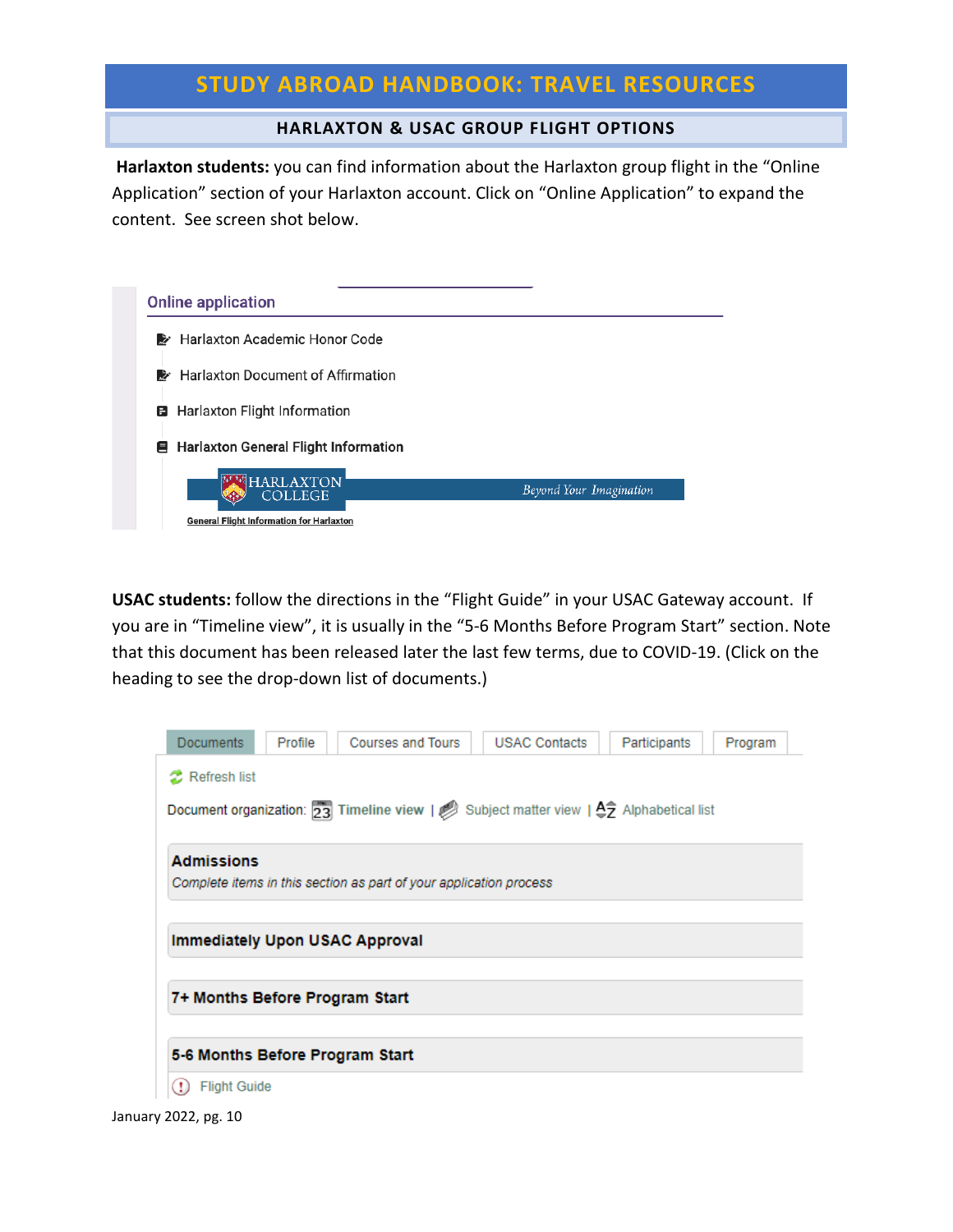#### **HARLAXTON & USAC GROUP FLIGHT OPTIONS**

<span id="page-9-0"></span>**Harlaxton students:** you can find information about the Harlaxton group flight in the "Online Application" section of your Harlaxton account. Click on "Online Application" to expand the content. See screen shot below.

| <b>Online application</b>                                                             |                         |
|---------------------------------------------------------------------------------------|-------------------------|
| Harlaxton Academic Honor Code<br>》                                                    |                         |
| <b>Harlaxton Document of Affirmation</b><br>▶                                         |                         |
| Harlaxton Flight Information<br>8                                                     |                         |
| ■ Harlaxton General Flight Information                                                |                         |
| <b>HARLAXTON</b><br><b>COLLEGE</b><br><b>General Flight Information for Harlaxton</b> | Beyond Your Imagination |

**USAC students:** follow the directions in the "Flight Guide" in your USAC Gateway account. If you are in "Timeline view", it is usually in the "5-6 Months Before Program Start" section. Note that this document has been released later the last few terms, due to COVID-19. (Click on the heading to see the drop-down list of documents.)

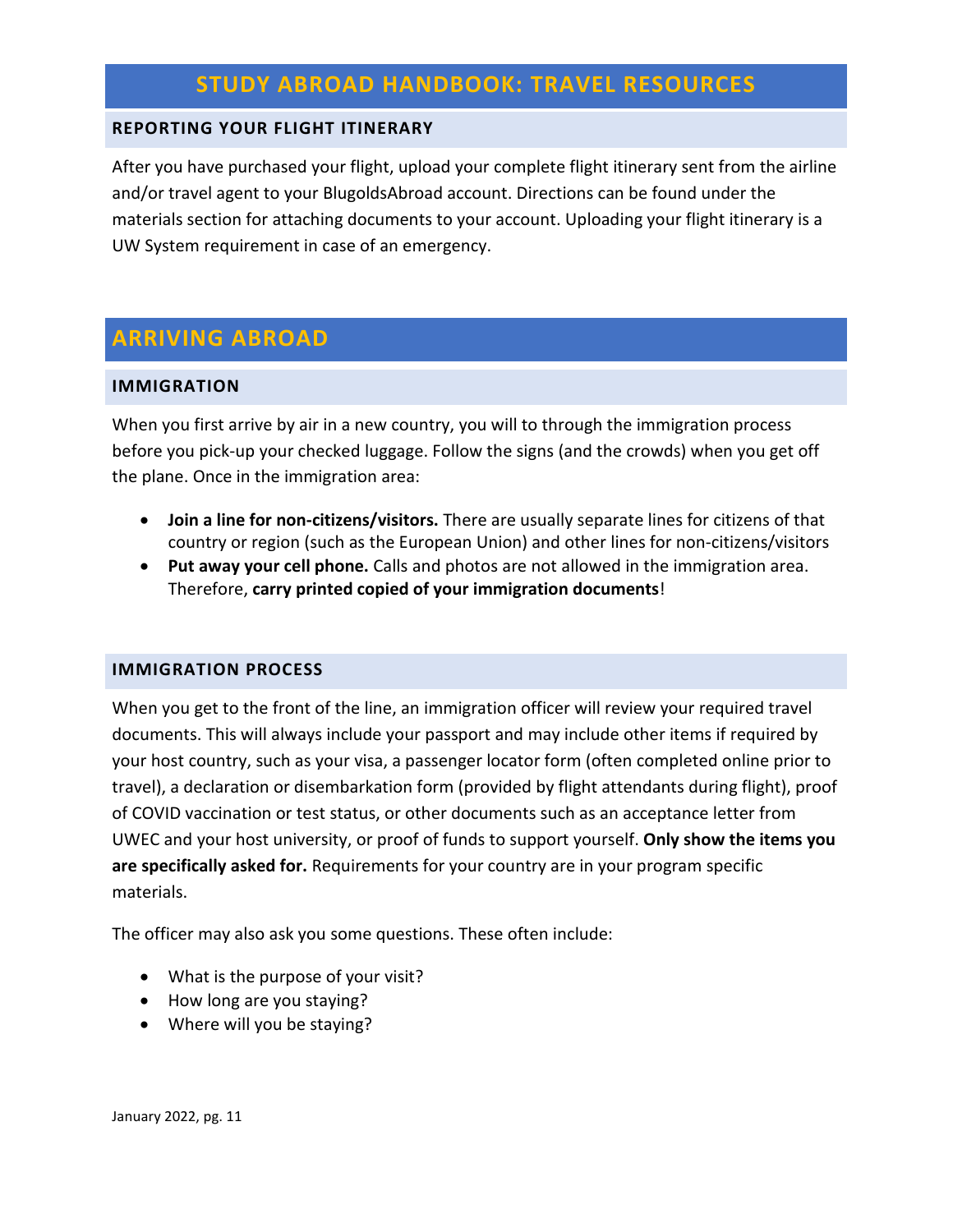### <span id="page-10-0"></span>**REPORTING YOUR FLIGHT ITINERARY**

After you have purchased your flight, upload your complete flight itinerary sent from the airline and/or travel agent to your BlugoldsAbroad account. Directions can be found under the materials section for attaching documents to your account. Uploading your flight itinerary is a UW System requirement in case of an emergency.

# <span id="page-10-1"></span>**ARRIVING ABROAD**

#### <span id="page-10-2"></span>**IMMIGRATION**

When you first arrive by air in a new country, you will to through the immigration process before you pick-up your checked luggage. Follow the signs (and the crowds) when you get off the plane. Once in the immigration area:

- **Join a line for non-citizens/visitors.** There are usually separate lines for citizens of that country or region (such as the European Union) and other lines for non-citizens/visitors
- **Put away your cell phone.** Calls and photos are not allowed in the immigration area. Therefore, **carry printed copied of your immigration documents**!

#### <span id="page-10-3"></span>**IMMIGRATION PROCESS**

When you get to the front of the line, an immigration officer will review your required travel documents. This will always include your passport and may include other items if required by your host country, such as your visa, a passenger locator form (often completed online prior to travel), a declaration or disembarkation form (provided by flight attendants during flight), proof of COVID vaccination or test status, or other documents such as an acceptance letter from UWEC and your host university, or proof of funds to support yourself. **Only show the items you are specifically asked for.** Requirements for your country are in your program specific materials.

The officer may also ask you some questions. These often include:

- What is the purpose of your visit?
- How long are you staying?
- Where will you be staying?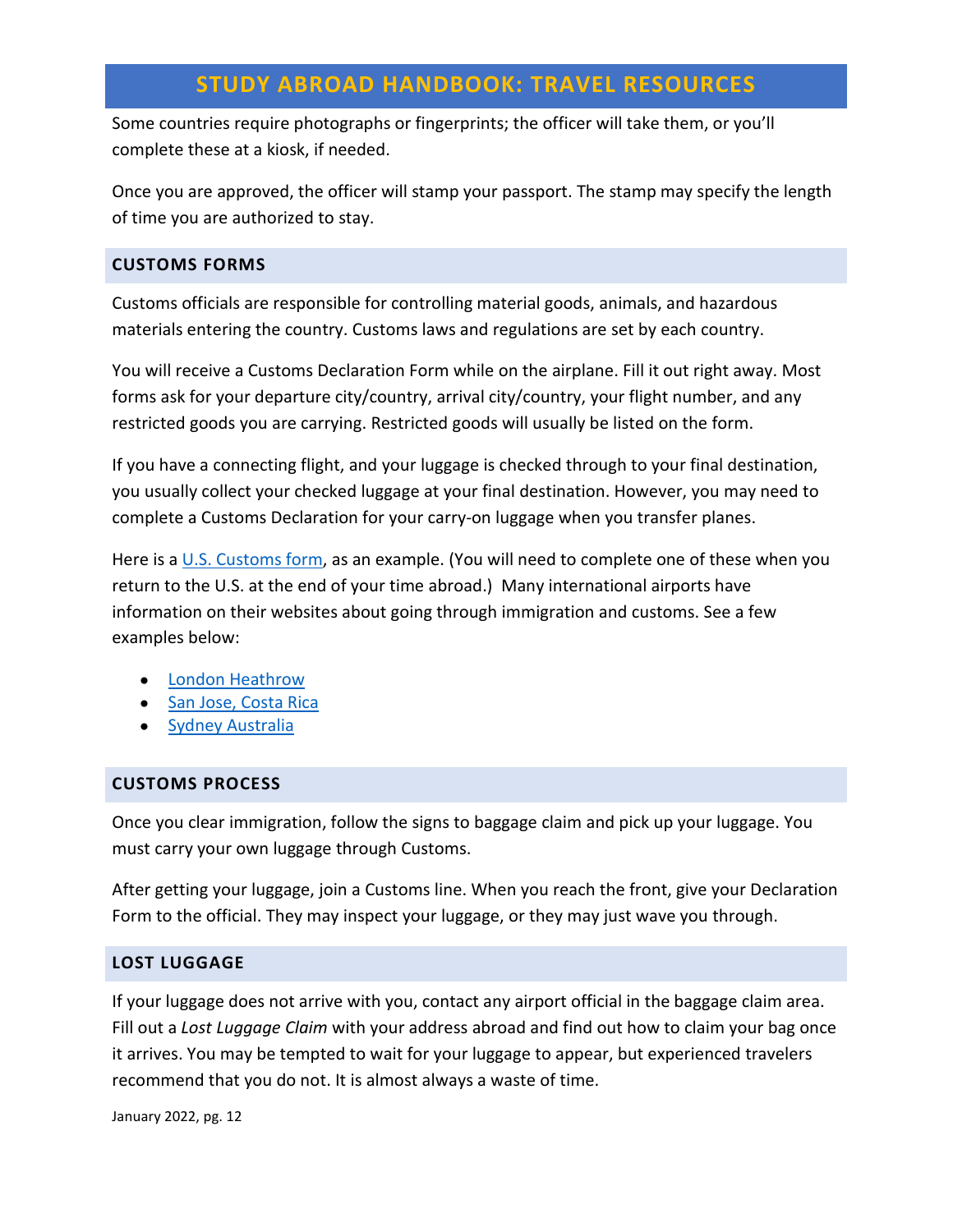Some countries require photographs or fingerprints; the officer will take them, or you'll complete these at a kiosk, if needed.

Once you are approved, the officer will stamp your passport. The stamp may specify the length of time you are authorized to stay.

### <span id="page-11-0"></span>**CUSTOMS FORMS**

Customs officials are responsible for controlling material goods, animals, and hazardous materials entering the country. Customs laws and regulations are set by each country.

You will receive a Customs Declaration Form while on the airplane. Fill it out right away. Most forms ask for your departure city/country, arrival city/country, your flight number, and any restricted goods you are carrying. Restricted goods will usually be listed on the form.

If you have a connecting flight, and your luggage is checked through to your final destination, you usually collect your checked luggage at your final destination. However, you may need to complete a Customs Declaration for your carry-on luggage when you transfer planes.

Here is a [U.S. Customs form,](https://www.cbp.gov/travel/clearing-cbp/traveler-entry-form) as an example. (You will need to complete one of these when you return to the U.S. at the end of your time abroad.) Many international airports have information on their websites about going through immigration and customs. See a few examples below:

- [London Heathrow](https://www.heathrow.com/arrivals/uk-customs)
- [San Jose, Costa Rica](https://sjoairport.com/en/passenger-guide)
- [Sydney Australia](https://www.sydneyairport.com.au/info-sheet/breeze-through-checks-international-arrival)

## <span id="page-11-1"></span>**CUSTOMS PROCESS**

Once you clear immigration, follow the signs to baggage claim and pick up your luggage. You must carry your own luggage through Customs.

After getting your luggage, join a Customs line. When you reach the front, give your Declaration Form to the official. They may inspect your luggage, or they may just wave you through.

#### <span id="page-11-2"></span>**LOST LUGGAGE**

If your luggage does not arrive with you, contact any airport official in the baggage claim area. Fill out a *Lost Luggage Claim* with your address abroad and find out how to claim your bag once it arrives. You may be tempted to wait for your luggage to appear, but experienced travelers recommend that you do not. It is almost always a waste of time.

January 2022, pg. 12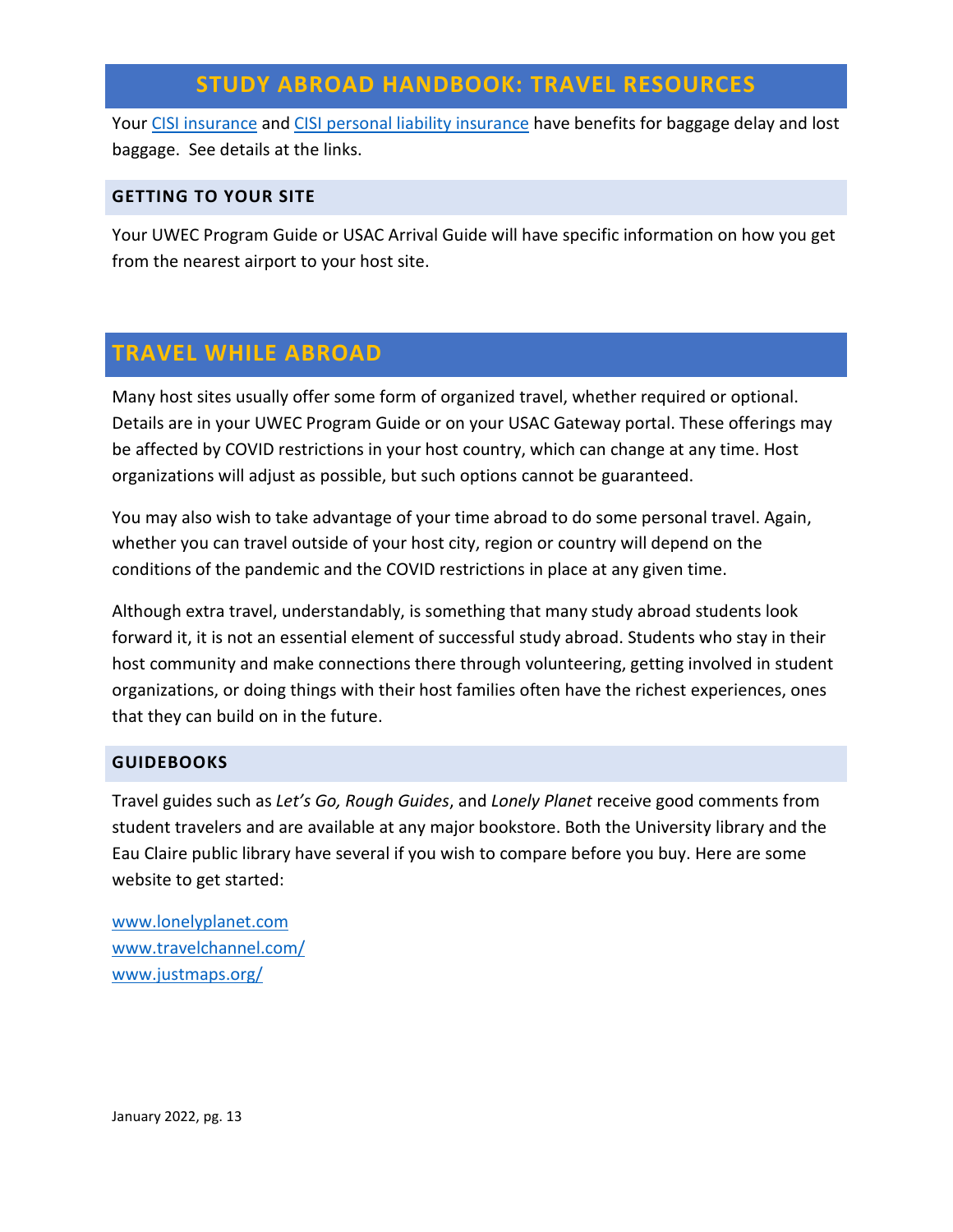Your [CISI insurance](https://studyabroad.apps.uwec.edu/_customtags/ct_FileRetrieve.cfm?File_ID=040277707B4F067375057207040B1C0179007314737F75736E010006767672770E7771777475030200) and [CISI personal liability insurance](https://studyabroad.apps.uwec.edu/_customtags/ct_FileRetrieve.cfm?File_ID=04027773724F06737701760273761C7208010414767A02736E7407737400750075007A760775037300) have benefits for baggage delay and lost baggage. See details at the links.

#### <span id="page-12-0"></span>**GETTING TO YOUR SITE**

Your UWEC Program Guide or USAC Arrival Guide will have specific information on how you get from the nearest airport to your host site.

## <span id="page-12-1"></span>**TRAVEL WHILE ABROAD**

Many host sites usually offer some form of organized travel, whether required or optional. Details are in your UWEC Program Guide or on your USAC Gateway portal. These offerings may be affected by COVID restrictions in your host country, which can change at any time. Host organizations will adjust as possible, but such options cannot be guaranteed.

You may also wish to take advantage of your time abroad to do some personal travel. Again, whether you can travel outside of your host city, region or country will depend on the conditions of the pandemic and the COVID restrictions in place at any given time.

Although extra travel, understandably, is something that many study abroad students look forward it, it is not an essential element of successful study abroad. Students who stay in their host community and make connections there through volunteering, getting involved in student organizations, or doing things with their host families often have the richest experiences, ones that they can build on in the future.

#### <span id="page-12-2"></span>**GUIDEBOOKS**

Travel guides such as *Let's Go, Rough Guides*, and *Lonely Planet* receive good comments from student travelers and are available at any major bookstore. Both the University library and the Eau Claire public library have several if you wish to compare before you buy. Here are some website to get started:

[www.lonelyplanet.com](http://www.lonelyplanet.com/) [www.travelchannel.com/](http://www.travelchannel.com/) [www.justmaps.org/](http://www.justmaps.org/)